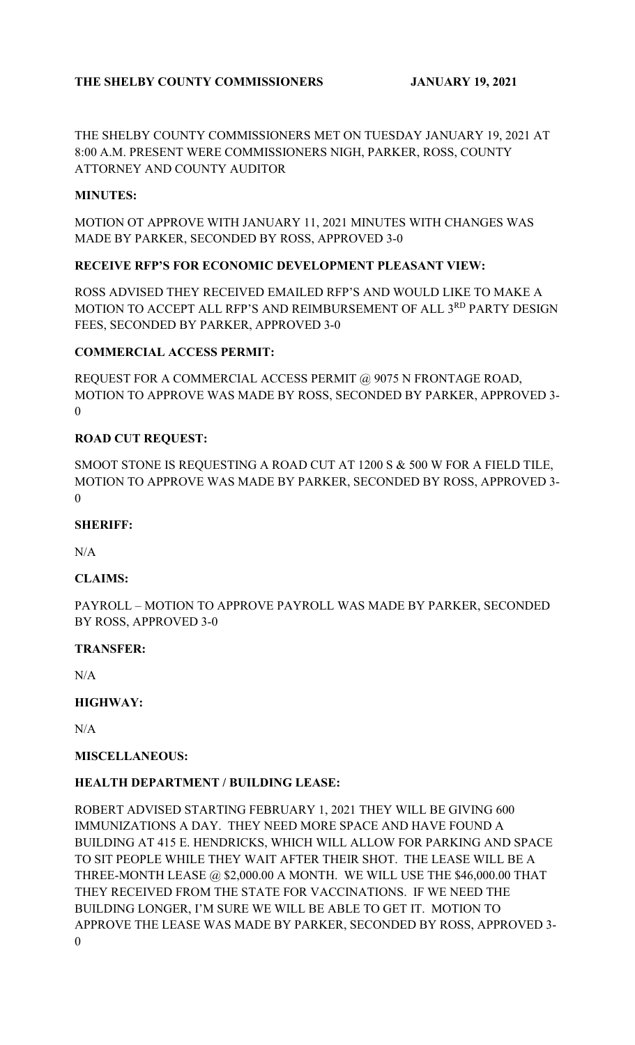# **THE SHELBY COUNTY COMMISSIONERS JANUARY 19, 2021**

THE SHELBY COUNTY COMMISSIONERS MET ON TUESDAY JANUARY 19, 2021 AT 8:00 A.M. PRESENT WERE COMMISSIONERS NIGH, PARKER, ROSS, COUNTY ATTORNEY AND COUNTY AUDITOR

### **MINUTES:**

MOTION OT APPROVE WITH JANUARY 11, 2021 MINUTES WITH CHANGES WAS MADE BY PARKER, SECONDED BY ROSS, APPROVED 3-0

### **RECEIVE RFP'S FOR ECONOMIC DEVELOPMENT PLEASANT VIEW:**

ROSS ADVISED THEY RECEIVED EMAILED RFP'S AND WOULD LIKE TO MAKE A MOTION TO ACCEPT ALL RFP'S AND REIMBURSEMENT OF ALL 3<sup>RD</sup> PARTY DESIGN FEES, SECONDED BY PARKER, APPROVED 3-0

### **COMMERCIAL ACCESS PERMIT:**

REQUEST FOR A COMMERCIAL ACCESS PERMIT @ 9075 N FRONTAGE ROAD, MOTION TO APPROVE WAS MADE BY ROSS, SECONDED BY PARKER, APPROVED 3- 0

#### **ROAD CUT REQUEST:**

SMOOT STONE IS REQUESTING A ROAD CUT AT 1200 S & 500 W FOR A FIELD TILE, MOTION TO APPROVE WAS MADE BY PARKER, SECONDED BY ROSS, APPROVED 3- 0

### **SHERIFF:**

 $N/A$ 

# **CLAIMS:**

PAYROLL – MOTION TO APPROVE PAYROLL WAS MADE BY PARKER, SECONDED BY ROSS, APPROVED 3-0

#### **TRANSFER:**

N/A

# **HIGHWAY:**

N/A

#### **MISCELLANEOUS:**

# **HEALTH DEPARTMENT / BUILDING LEASE:**

ROBERT ADVISED STARTING FEBRUARY 1, 2021 THEY WILL BE GIVING 600 IMMUNIZATIONS A DAY. THEY NEED MORE SPACE AND HAVE FOUND A BUILDING AT 415 E. HENDRICKS, WHICH WILL ALLOW FOR PARKING AND SPACE TO SIT PEOPLE WHILE THEY WAIT AFTER THEIR SHOT. THE LEASE WILL BE A THREE-MONTH LEASE @ \$2,000.00 A MONTH. WE WILL USE THE \$46,000.00 THAT THEY RECEIVED FROM THE STATE FOR VACCINATIONS. IF WE NEED THE BUILDING LONGER, I'M SURE WE WILL BE ABLE TO GET IT. MOTION TO APPROVE THE LEASE WAS MADE BY PARKER, SECONDED BY ROSS, APPROVED 3- 0